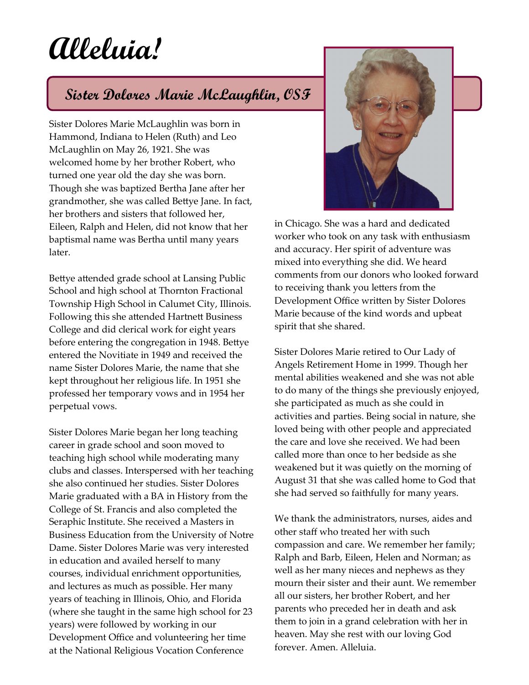## **Alleluia!**

## **Sister Dolores Marie McLaughlin, OSF**

Sister Dolores Marie McLaughlin was born in Hammond, Indiana to Helen (Ruth) and Leo McLaughlin on May 26, 1921. She was welcomed home by her brother Robert, who turned one year old the day she was born. Though she was baptized Bertha Jane after her grandmother, she was called Bettye Jane. In fact, her brothers and sisters that followed her, Eileen, Ralph and Helen, did not know that her baptismal name was Bertha until many years later.

Bettye attended grade school at Lansing Public School and high school at Thornton Fractional Township High School in Calumet City, Illinois. Following this she attended Hartnett Business College and did clerical work for eight years before entering the congregation in 1948. Bettye entered the Novitiate in 1949 and received the name Sister Dolores Marie, the name that she kept throughout her religious life. In 1951 she professed her temporary vows and in 1954 her perpetual vows.

Sister Dolores Marie began her long teaching career in grade school and soon moved to teaching high school while moderating many clubs and classes. Interspersed with her teaching she also continued her studies. Sister Dolores Marie graduated with a BA in History from the College of St. Francis and also completed the Seraphic Institute. She received a Masters in Business Education from the University of Notre Dame. Sister Dolores Marie was very interested in education and availed herself to many courses, individual enrichment opportunities, and lectures as much as possible. Her many years of teaching in Illinois, Ohio, and Florida (where she taught in the same high school for 23 years) were followed by working in our Development Office and volunteering her time at the National Religious Vocation Conference



in Chicago. She was a hard and dedicated worker who took on any task with enthusiasm and accuracy. Her spirit of adventure was mixed into everything she did. We heard comments from our donors who looked forward to receiving thank you letters from the Development Office written by Sister Dolores Marie because of the kind words and upbeat spirit that she shared.

Sister Dolores Marie retired to Our Lady of Angels Retirement Home in 1999. Though her mental abilities weakened and she was not able to do many of the things she previously enjoyed, she participated as much as she could in activities and parties. Being social in nature, she loved being with other people and appreciated the care and love she received. We had been called more than once to her bedside as she weakened but it was quietly on the morning of August 31 that she was called home to God that she had served so faithfully for many years.

We thank the administrators, nurses, aides and other staff who treated her with such compassion and care. We remember her family; Ralph and Barb, Eileen, Helen and Norman; as well as her many nieces and nephews as they mourn their sister and their aunt. We remember all our sisters, her brother Robert, and her parents who preceded her in death and ask them to join in a grand celebration with her in heaven. May she rest with our loving God forever. Amen. Alleluia.